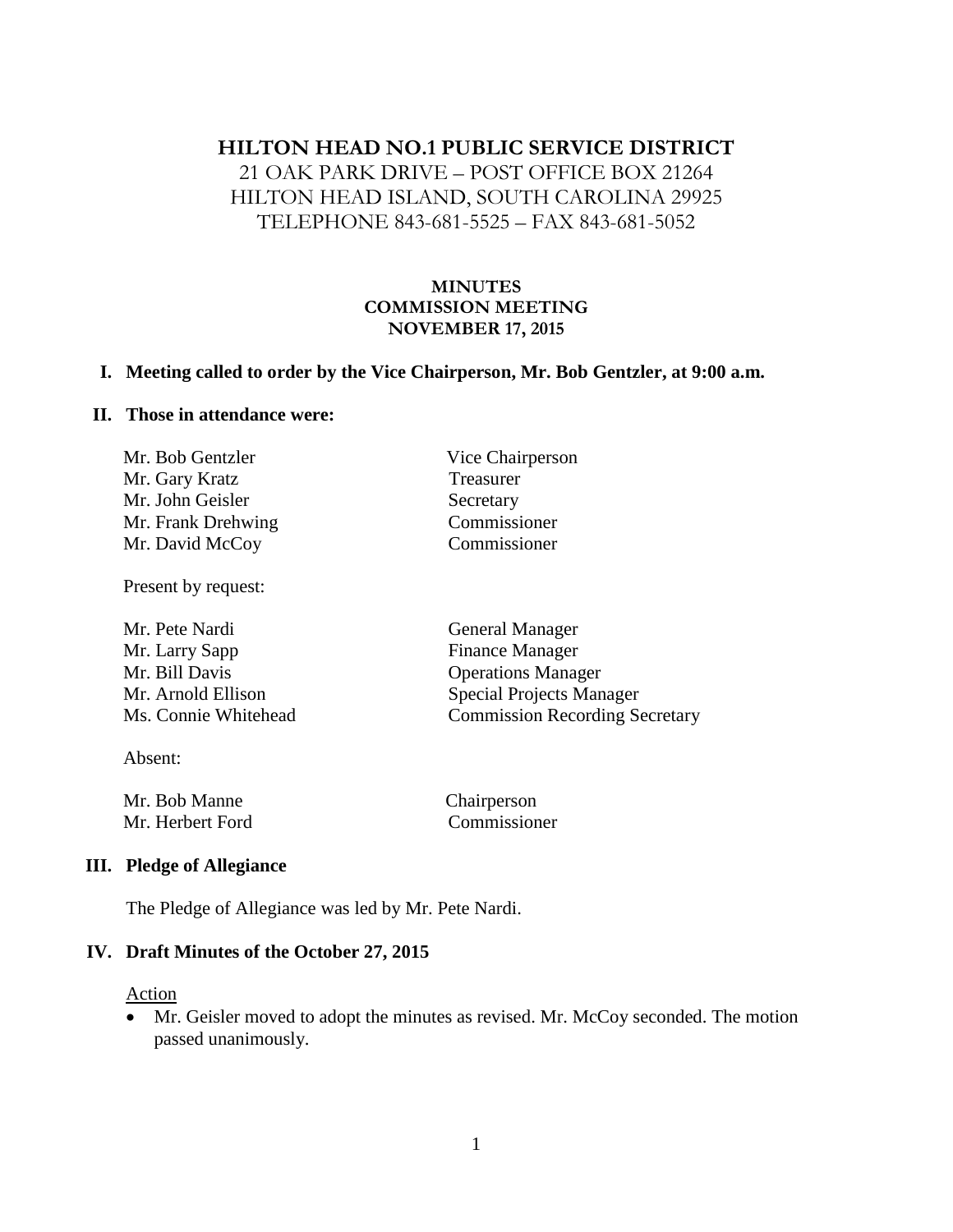## **HILTON HEAD NO.1 PUBLIC SERVICE DISTRICT**

# 21 OAK PARK DRIVE – POST OFFICE BOX 21264 HILTON HEAD ISLAND, SOUTH CAROLINA 29925 TELEPHONE 843-681-5525 – FAX 843-681-5052

#### **MINUTES COMMISSION MEETING NOVEMBER 17, 2015**

#### **I. Meeting called to order by the Vice Chairperson, Mr. Bob Gentzler, at 9:00 a.m.**

#### **II. Those in attendance were:**

| Mr. Bob Gentzler   | Vice Chairperson |
|--------------------|------------------|
| Mr. Gary Kratz     | Treasurer        |
| Mr. John Geisler   | Secretary        |
| Mr. Frank Drehwing | Commissioner     |
| Mr. David McCoy    | Commissioner     |

Present by request:

| Mr. Pete Nardi       | <b>General Manager</b>                |
|----------------------|---------------------------------------|
| Mr. Larry Sapp       | <b>Finance Manager</b>                |
| Mr. Bill Davis       | <b>Operations Manager</b>             |
| Mr. Arnold Ellison   | <b>Special Projects Manager</b>       |
| Ms. Connie Whitehead | <b>Commission Recording Secretary</b> |
|                      |                                       |

Absent:

Mr. Bob Manne Chairperson Mr. Herbert Ford Commissioner

#### **III. Pledge of Allegiance**

The Pledge of Allegiance was led by Mr. Pete Nardi.

#### **IV. Draft Minutes of the October 27, 2015**

#### Action

 Mr. Geisler moved to adopt the minutes as revised. Mr. McCoy seconded. The motion passed unanimously.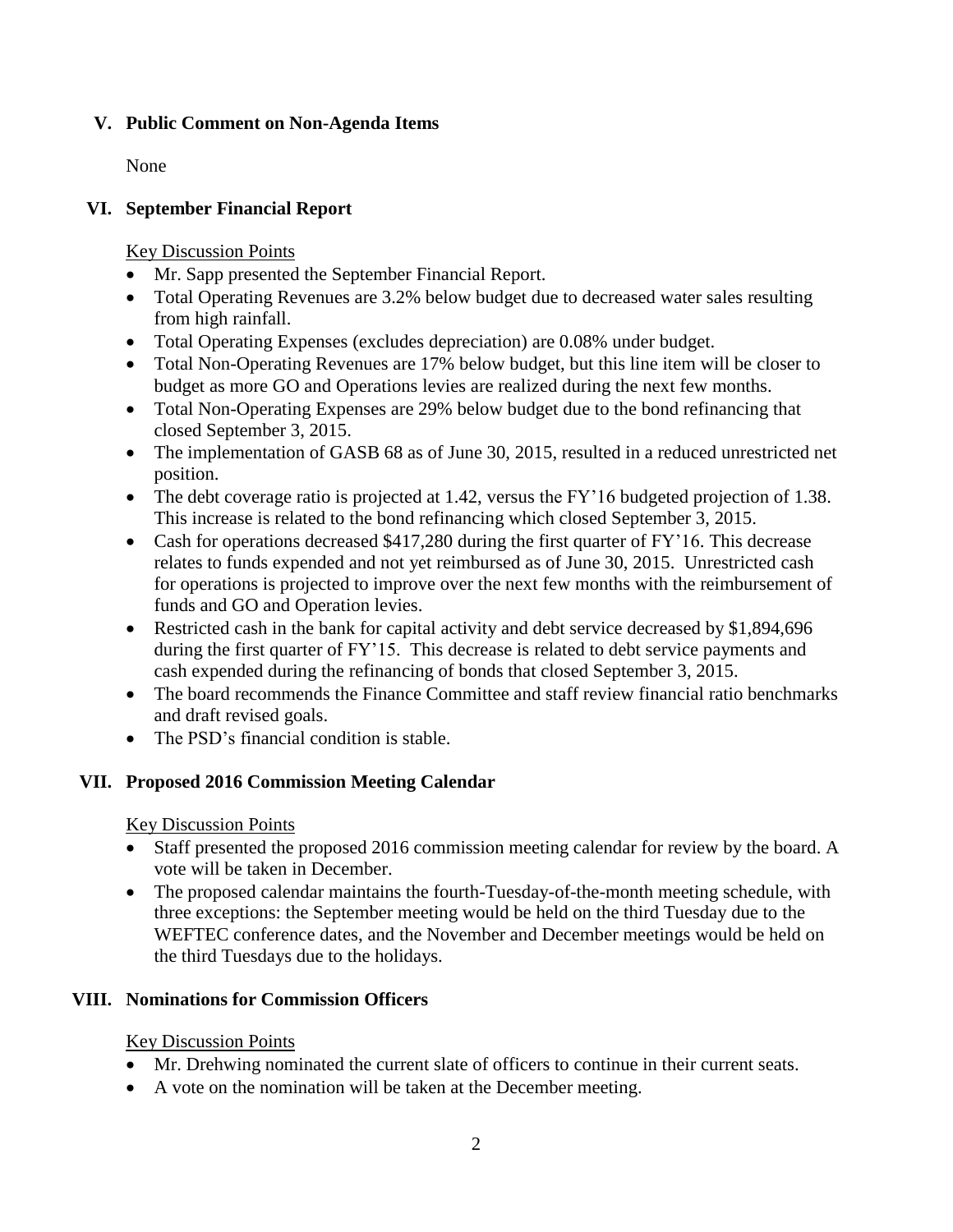## **V. Public Comment on Non-Agenda Items**

None

# **VI. September Financial Report**

Key Discussion Points

- Mr. Sapp presented the September Financial Report.
- Total Operating Revenues are 3.2% below budget due to decreased water sales resulting from high rainfall.
- Total Operating Expenses (excludes depreciation) are 0.08% under budget.
- Total Non-Operating Revenues are 17% below budget, but this line item will be closer to budget as more GO and Operations levies are realized during the next few months.
- Total Non-Operating Expenses are 29% below budget due to the bond refinancing that closed September 3, 2015.
- The implementation of GASB 68 as of June 30, 2015, resulted in a reduced unrestricted net position.
- The debt coverage ratio is projected at 1.42, versus the FY'16 budgeted projection of 1.38. This increase is related to the bond refinancing which closed September 3, 2015.
- Cash for operations decreased \$417,280 during the first quarter of FY'16. This decrease relates to funds expended and not yet reimbursed as of June 30, 2015. Unrestricted cash for operations is projected to improve over the next few months with the reimbursement of funds and GO and Operation levies.
- Restricted cash in the bank for capital activity and debt service decreased by \$1,894,696 during the first quarter of FY'15. This decrease is related to debt service payments and cash expended during the refinancing of bonds that closed September 3, 2015.
- The board recommends the Finance Committee and staff review financial ratio benchmarks and draft revised goals.
- The PSD's financial condition is stable.

#### **VII. Proposed 2016 Commission Meeting Calendar**

Key Discussion Points

- Staff presented the proposed 2016 commission meeting calendar for review by the board. A vote will be taken in December.
- The proposed calendar maintains the fourth-Tuesday-of-the-month meeting schedule, with three exceptions: the September meeting would be held on the third Tuesday due to the WEFTEC conference dates, and the November and December meetings would be held on the third Tuesdays due to the holidays.

# **VIII. Nominations for Commission Officers**

#### Key Discussion Points

- Mr. Drehwing nominated the current slate of officers to continue in their current seats.
- A vote on the nomination will be taken at the December meeting.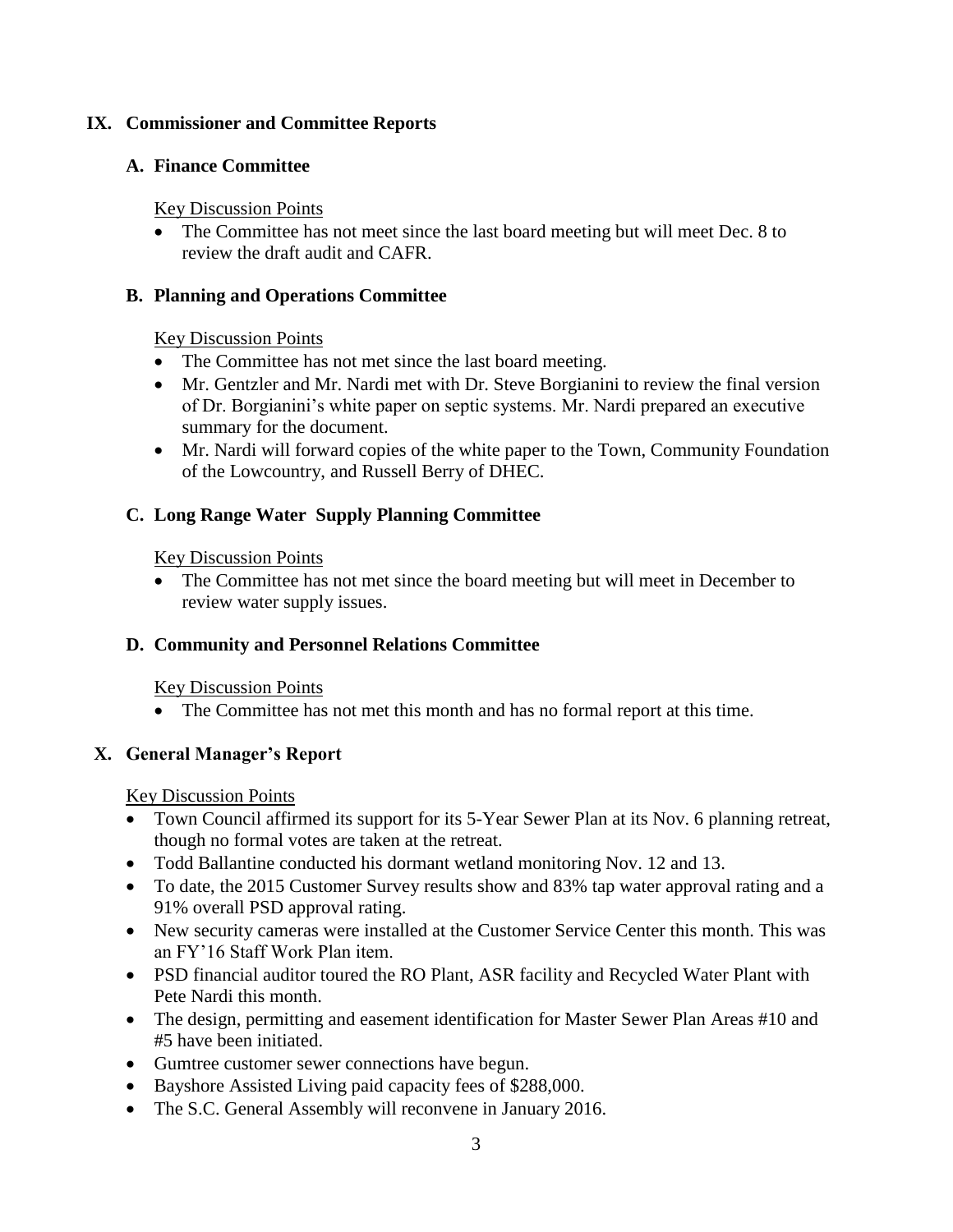### **IX. Commissioner and Committee Reports**

### **A. Finance Committee**

#### Key Discussion Points

• The Committee has not meet since the last board meeting but will meet Dec. 8 to review the draft audit and CAFR.

#### **B. Planning and Operations Committee**

#### Key Discussion Points

- The Committee has not met since the last board meeting.
- Mr. Gentzler and Mr. Nardi met with Dr. Steve Borgianini to review the final version of Dr. Borgianini's white paper on septic systems. Mr. Nardi prepared an executive summary for the document.
- Mr. Nardi will forward copies of the white paper to the Town, Community Foundation of the Lowcountry, and Russell Berry of DHEC.

## **C. Long Range Water Supply Planning Committee**

## Key Discussion Points

• The Committee has not met since the board meeting but will meet in December to review water supply issues.

# **D. Community and Personnel Relations Committee**

# Key Discussion Points

• The Committee has not met this month and has no formal report at this time.

#### **X. General Manager's Report**

Key Discussion Points

- Town Council affirmed its support for its 5-Year Sewer Plan at its Nov. 6 planning retreat, though no formal votes are taken at the retreat.
- Todd Ballantine conducted his dormant wetland monitoring Nov. 12 and 13.
- To date, the 2015 Customer Survey results show and 83% tap water approval rating and a 91% overall PSD approval rating.
- New security cameras were installed at the Customer Service Center this month. This was an FY'16 Staff Work Plan item.
- PSD financial auditor toured the RO Plant, ASR facility and Recycled Water Plant with Pete Nardi this month.
- The design, permitting and easement identification for Master Sewer Plan Areas #10 and #5 have been initiated.
- Gumtree customer sewer connections have begun.
- Bayshore Assisted Living paid capacity fees of \$288,000.
- The S.C. General Assembly will reconvene in January 2016.